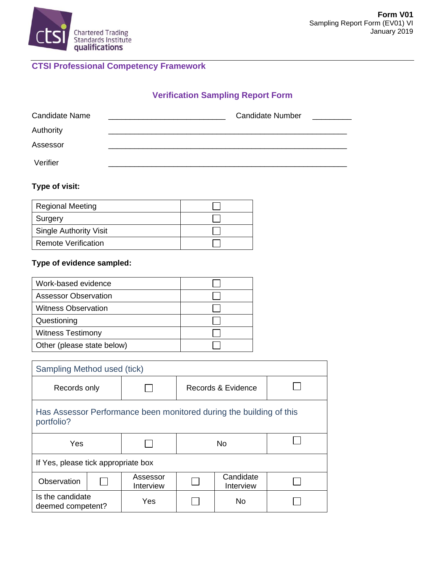

# **CTSI Professional Competency Framework**

## **Verification Sampling Report Form**

| Candidate Name | <b>Candidate Number</b> |
|----------------|-------------------------|
| Authority      |                         |
| Assessor       |                         |
| Verifier       |                         |

### **Type of visit:**

| <b>Regional Meeting</b>       |  |
|-------------------------------|--|
| Surgery                       |  |
| <b>Single Authority Visit</b> |  |
| <b>Remote Verification</b>    |  |

### **Type of evidence sampled:**

| Work-based evidence         |  |
|-----------------------------|--|
| <b>Assessor Observation</b> |  |
| <b>Witness Observation</b>  |  |
| Questioning                 |  |
| <b>Witness Testimony</b>    |  |
| Other (please state below)  |  |

| Sampling Method used (tick)                                                       |  |                       |                    |                        |  |  |
|-----------------------------------------------------------------------------------|--|-----------------------|--------------------|------------------------|--|--|
| Records only                                                                      |  |                       | Records & Evidence |                        |  |  |
| Has Assessor Performance been monitored during the building of this<br>portfolio? |  |                       |                    |                        |  |  |
| Yes                                                                               |  |                       | No.                |                        |  |  |
| If Yes, please tick appropriate box                                               |  |                       |                    |                        |  |  |
| Observation                                                                       |  | Assessor<br>Interview |                    | Candidate<br>Interview |  |  |
| Is the candidate<br>deemed competent?                                             |  | Yes                   |                    | <b>No</b>              |  |  |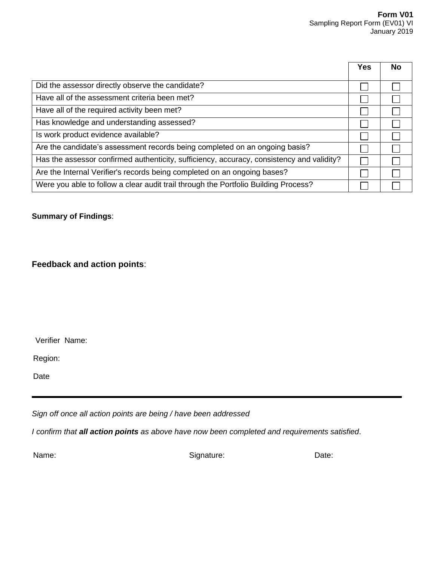|                                                                                           | <b>Yes</b> | No |
|-------------------------------------------------------------------------------------------|------------|----|
| Did the assessor directly observe the candidate?                                          |            |    |
| Have all of the assessment criteria been met?                                             |            |    |
| Have all of the required activity been met?                                               |            |    |
| Has knowledge and understanding assessed?                                                 |            |    |
| Is work product evidence available?                                                       |            |    |
| Are the candidate's assessment records being completed on an ongoing basis?               |            |    |
| Has the assessor confirmed authenticity, sufficiency, accuracy, consistency and validity? |            |    |
| Are the Internal Verifier's records being completed on an ongoing bases?                  |            |    |
| Were you able to follow a clear audit trail through the Portfolio Building Process?       |            |    |

#### **Summary of Findings**:

**Feedback and action points**:

Verifier Name:

Region:

Date

*Sign off once all action points are being / have been addressed*

*I confirm that all action points as above have now been completed and requirements satisfied*.

Name: Date: Signature: Signature: Date: